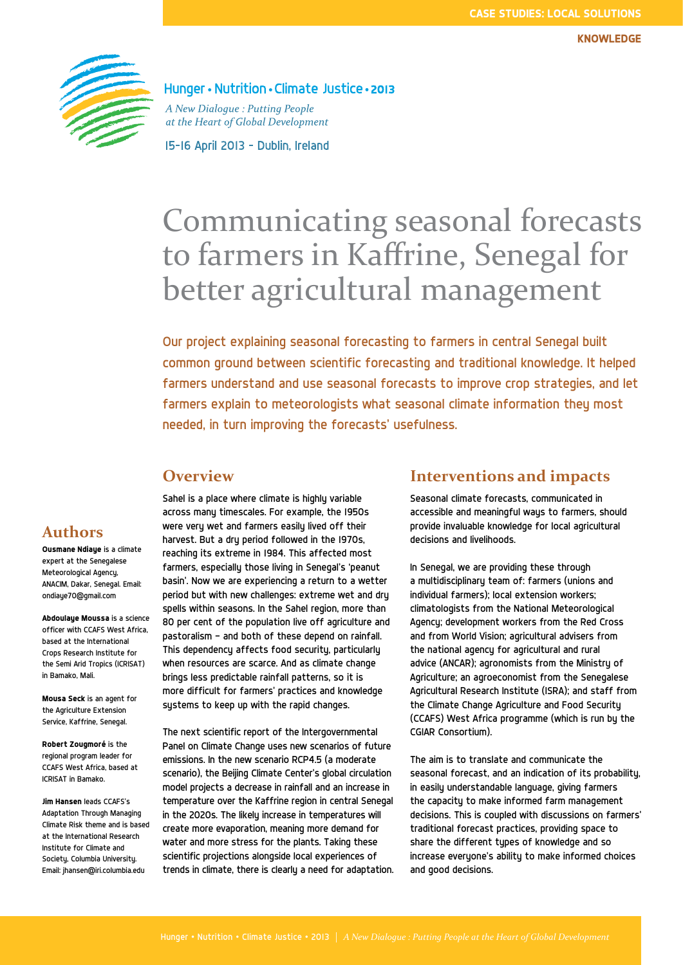

Hunger • Nutrition • Climate Justice • 2013

A New Dialogue: Putting People at the Heart of Global Development

15-16 April 2013 - Dublin, Ireland

# Communicating seasonal forecasts to farmers in Kaffrine, Senegal for better agricultural management

Our project explaining seasonal forecasting to farmers in central Senegal built common ground between scientific forecasting and traditional knowledge. It helped farmers understand and use seasonal forecasts to improve crop strategies, and let farmers explain to meteorologists what seasonal climate information they most needed, in turn improving the forecasts' usefulness.

# **Overview**

across many timescales. For example, the 1950s were very wet and farmers easily lived off their harvest. But a dru period followed in the 1970s, reaching its extreme in 1984. This affected most farmers, especially those living in Senegal's 'peanut basin'. Now we are experiencing a return to a wetter period but with new challenges: extreme wet and dry spells within seasons. In the Sahel region, more than 80 per cent of the population live off agriculture and pastoralism — and both of these depend on rainfall. This dependency affects food security, particularly when resources are scarce. And as climate change brings less predictable rainfall patterns, so it is more difficult for farmers' practices and knowledge sustems to keep up with the rapid changes.

Sahel is a place where climate is highly variable

The next scientific report of the Intergovernmental Panel on Climate Change uses new scenarios of future emissions. In the new scenario RCP4.5 (a moderate scenario), the Beijing Climate Center's global circulation model projects a decrease in rainfall and an increase in temperature over the Kaffrine region in central Senegal in the 2020s. The likely increase in temperatures will create more evaporation, meaning more demand for water and more stress for the plants. Taking these scientific projections alongside local experiences of trends in climate, there is clearly a need for adaptation.

### **Interventions and impacts**

Seasonal climate forecasts, communicated in accessible and meaningful ways to farmers, should provide invaluable knowledge for local agricultural decisions and livelihoods.

In Senegal, we are providing these through a multidisciplinary team of: farmers (unions and individual farmers); local extension workers; climatologists from the National Meteorological Agency; development workers from the Red Cross and from World Vision; agricultural advisers from the national agency for agricultural and rural advice (ANCAR); agronomists from the Ministry of Agriculture; an agroeconomist from the Senegalese Agricultural Research Institute (ISRA); and staff from the Climate Change Agriculture and Food Security (CCAFS) West Africa programme (which is run by the CGIAR Consortium).

The aim is to translate and communicate the seasonal forecast, and an indication of its probability, in easily understandable language, giving farmers the capacity to make informed farm management decisions. This is coupled with discussions on farmers' traditional forecast practices, providing space to share the different types of knowledge and so increase everyone's ability to make informed choices and good decisions.

# **Authors**

**Ousmane Ndiaye** is a climate expert at the Senegalese Meteorological Agency, ANACIM, Dakar, Senegal. Email: ondiaye70@gmail.com

**Abdoulaye Moussa** is a science officer with CCAFS West Africa, based at the International Crops Research Institute for the Semi Arid Tropics (ICRISAT) in Bamako, Mali.

**Mousa Seck** is an agent for the Agriculture Extension Service, Kaffrine, Senegal.

**Robert Zougmoré** is the regional program leader for CCAFS West Africa, based at ICRISAT in Bamako.

**Jim Hansen** leads CCAFS's Adaptation Through Managing Climate Risk theme and is based at the International Research Institute for Climate and Society, Columbia University. Email: jhansen@iri.columbia.edu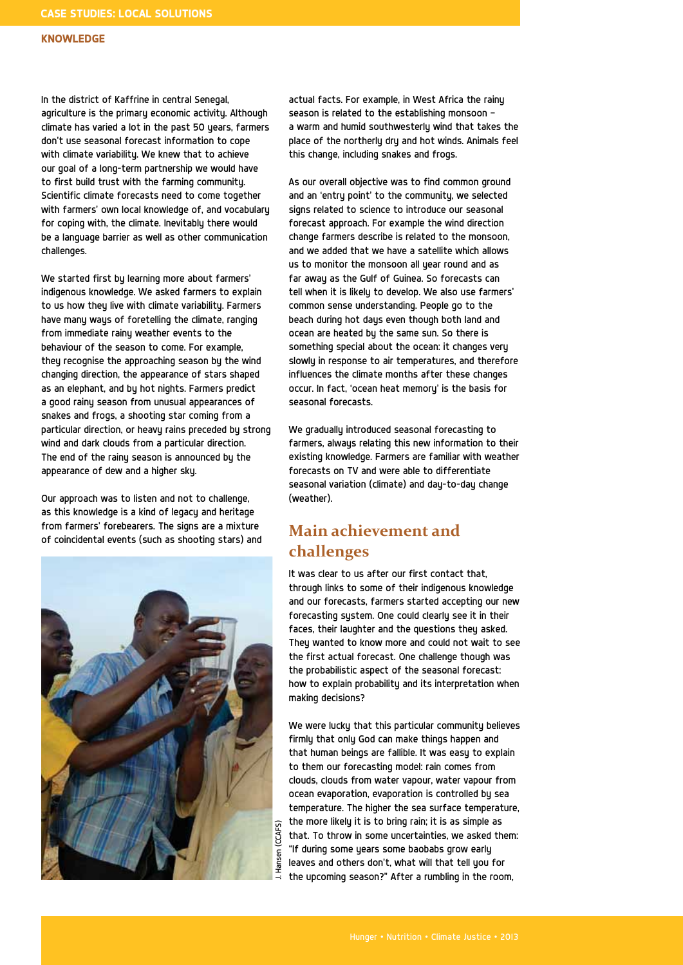#### **KNowLedGE**

In the district of Kaffrine in central Senegal, agriculture is the primary economic activity. Although climate has varied a lot in the past 50 years, farmers don't use seasonal forecast information to cope with climate variability. We knew that to achieve our goal of a long-term partnership we would have to first build trust with the farming community. Scientific climate forecasts need to come together with farmers' own local knowledge of, and vocabulary for coping with, the climate. Inevitably there would be a language barrier as well as other communication challenges.

We started first by learning more about farmers' indigenous knowledge. We asked farmers to explain to us how they live with climate variability. Farmers have many ways of foretelling the climate, ranging from immediate rainy weather events to the behaviour of the season to come. For example, they recognise the approaching season by the wind changing direction, the appearance of stars shaped as an elephant, and by hot nights. Farmers predict a good rainy season from unusual appearances of snakes and frogs, a shooting star coming from a particular direction, or heavy rains preceded by strong wind and dark clouds from a particular direction. The end of the rainy season is announced by the appearance of dew and a higher sky.

Our approach was to listen and not to challenge, as this knowledge is a kind of legacy and heritage from farmers' forebearers. The signs are a mixture of coincidental events (such as shooting stars) and



actual facts. For example, in West Africa the rainy season is related to the establishing monsoon a warm and humid southwesterly wind that takes the place of the northerly dry and hot winds. Animals feel this change, including snakes and frogs.

As our overall objective was to find common ground and an 'entry point' to the community, we selected signs related to science to introduce our seasonal forecast approach. For example the wind direction change farmers describe is related to the monsoon, and we added that we have a satellite which allows us to monitor the monsoon all year round and as far away as the Gulf of Guinea. So forecasts can tell when it is likely to develop. We also use farmers' common sense understanding. People go to the beach during hot days even though both land and ocean are heated by the same sun. So there is something special about the ocean: it changes very slowly in response to air temperatures, and therefore influences the climate months after these changes occur. In fact, 'ocean heat memory' is the basis for seasonal forecasts.

We gradually introduced seasonal forecasting to farmers, always relating this new information to their existing knowledge. Farmers are familiar with weather forecasts on TV and were able to differentiate seasonal variation (climate) and day-to-day change (weather).

# **Main achievement and challenges**

It was clear to us after our first contact that, through links to some of their indigenous knowledge and our forecasts, farmers started accepting our new forecasting system. One could clearly see it in their faces, their laughter and the questions they asked. They wanted to know more and could not wait to see the first actual forecast. One challenge though was the probabilistic aspect of the seasonal forecast: how to explain probability and its interpretation when making decisions?

We were lucky that this particular community believes firmly that only God can make things happen and that human beings are fallible. It was easy to explain to them our forecasting model: rain comes from clouds, clouds from water vapour, water vapour from ocean evaporation, evaporation is controlled by sea temperature. The higher the sea surface temperature, the more likely it is to bring rain; it is as simple as that. To throw in some uncertainties, we asked them: "If during some years some baobabs grow early leaves and others don't, what will that tell you for the upcoming season?" After a rumbling in the room,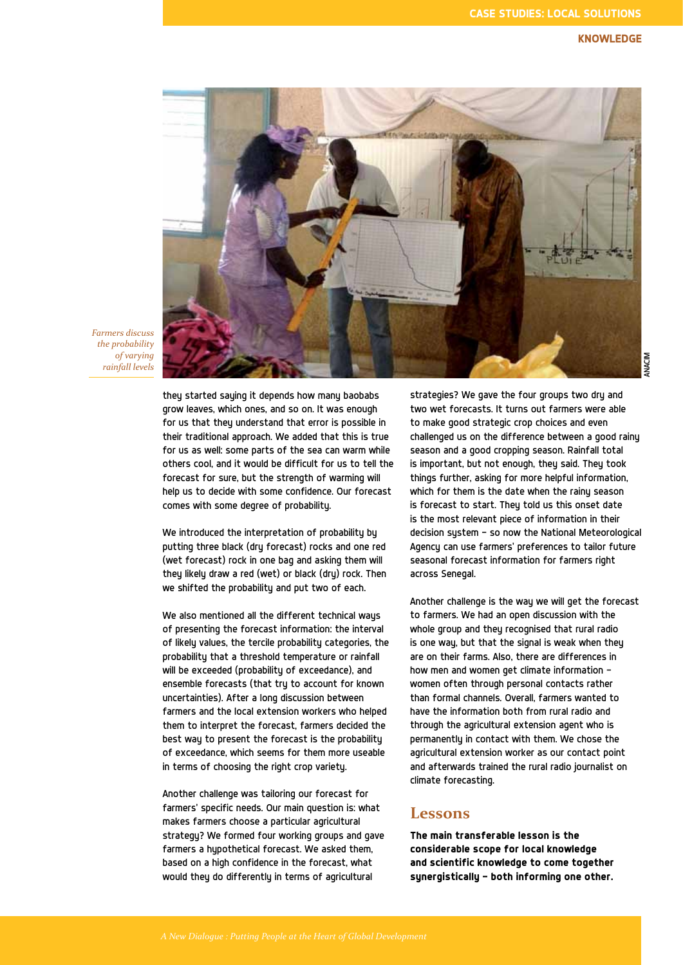#### **KNowLedGE**



*Farmers discuss the probability of varying rainfall levels*

> they started saying it depends how many baobabs grow leaves, which ones, and so on. It was enough for us that they understand that error is possible in their traditional approach. We added that this is true for us as well: some parts of the sea can warm while others cool, and it would be difficult for us to tell the forecast for sure, but the strength of warming will help us to decide with some confidence. Our forecast comes with some degree of probability.

We introduced the interpretation of probability by putting three black (dry forecast) rocks and one red (wet forecast) rock in one bag and asking them will they likely draw a red (wet) or black (dry) rock. Then we shifted the probability and put two of each.

We also mentioned all the different technical ways of presenting the forecast information: the interval of likely values, the tercile probability categories, the probability that a threshold temperature or rainfall will be exceeded (probability of exceedance), and ensemble forecasts (that try to account for known uncertainties). After a long discussion between farmers and the local extension workers who helped them to interpret the forecast, farmers decided the best way to present the forecast is the probability of exceedance, which seems for them more useable in terms of choosing the right crop variety.

Another challenge was tailoring our forecast for farmers' specific needs. Our main question is: what makes farmers choose a particular agricultural strategy? We formed four working groups and gave farmers a hupothetical forecast. We asked them, based on a high confidence in the forecast, what would they do differently in terms of agricultural

strategies? We gave the four groups two dry and two wet forecasts. It turns out farmers were able to make good strategic crop choices and even challenged us on the difference between a good rainy season and a good cropping season. Rainfall total is important, but not enough, they said. They took things further, asking for more helpful information, which for them is the date when the rainy season is forecast to start. They told us this onset date is the most relevant piece of information in their decision system — so now the National Meteorological Agency can use farmers' preferences to tailor future seasonal forecast information for farmers right across Senegal.

Another challenge is the way we will get the forecast to farmers. We had an open discussion with the whole group and they recognised that rural radio is one way, but that the signal is weak when they are on their farms. Also, there are differences in how men and women get climate information women often through personal contacts rather than formal channels. Overall, farmers wanted to have the information both from rural radio and through the agricultural extension agent who is permanently in contact with them. We chose the agricultural extension worker as our contact point and afterwards trained the rural radio journalist on climate forecasting.

#### **Lessons**

**The main transferable lesson is the considerable scope for local knowledge and scientific knowledge to come together synergistically — both informing one other.**